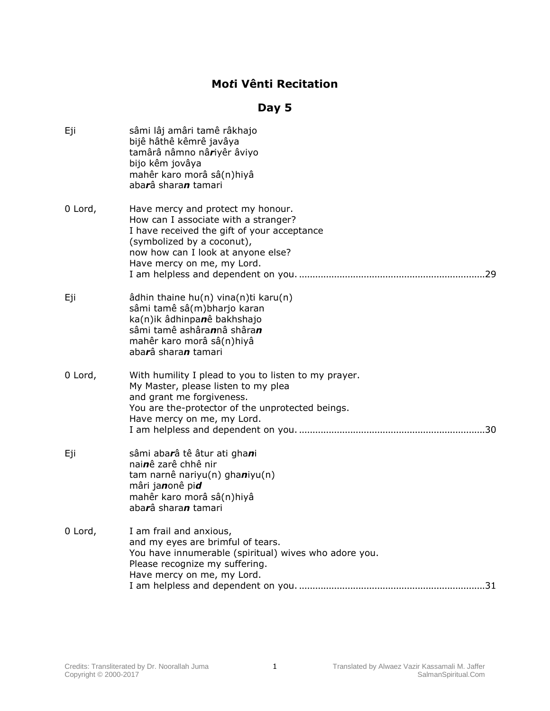## **Mo***t***i Vênti Recitation**

## **Day 5**

| Eji     | sâmi lâj amâri tamê râkhajo<br>bijê hâthê kêmrê javâya<br>tamârâ nâmno nâriyêr âviyo<br>bijo kêm jovâya<br>mahêr karo morâ sâ(n)hiyâ<br>abarâ sharan tamari                                                                |
|---------|----------------------------------------------------------------------------------------------------------------------------------------------------------------------------------------------------------------------------|
| 0 Lord, | Have mercy and protect my honour.<br>How can I associate with a stranger?<br>I have received the gift of your acceptance<br>(symbolized by a coconut),<br>now how can I look at anyone else?<br>Have mercy on me, my Lord. |
| Eji     | âdhin thaine hu(n) vina(n)ti karu(n)<br>sâmi tamê sâ(m)bharjo karan<br>ka(n)ik âdhinpanê bakhshajo<br>sâmi tamê ashârannâ shâran<br>mahêr karo morâ sâ(n)hiyâ<br>abarâ sharan tamari                                       |
| 0 Lord, | With humility I plead to you to listen to my prayer.<br>My Master, please listen to my plea<br>and grant me forgiveness.<br>You are the-protector of the unprotected beings.<br>Have mercy on me, my Lord.                 |
| Eji     | sâmi abarâ tê âtur ati ghani<br>nainê zarê chhê nir<br>tam narnê nariyu(n) ghaniyu(n)<br>mâri janonê pid<br>mahêr karo morâ sâ(n)hiyâ<br>abarâ sharan tamari                                                               |
| 0 Lord, | I am frail and anxious,<br>and my eyes are brimful of tears.<br>You have innumerable (spiritual) wives who adore you.<br>Please recognize my suffering.<br>Have mercy on me, my Lord.                                      |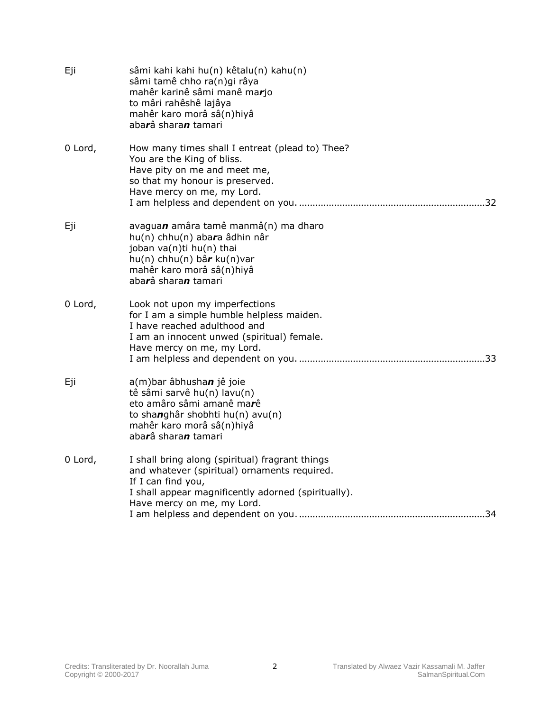| Eji     | sâmi kahi kahi hu(n) kêtalu(n) kahu(n)<br>sâmi tamê chho ra(n)gi râya<br>mahêr karinê sâmi manê marjo<br>to mâri rahêshê lajâya<br>mahêr karo morâ sâ(n)hiyâ<br>abarâ sharan tamari                        |
|---------|------------------------------------------------------------------------------------------------------------------------------------------------------------------------------------------------------------|
| 0 Lord, | How many times shall I entreat (plead to) Thee?<br>You are the King of bliss.<br>Have pity on me and meet me,<br>so that my honour is preserved.<br>Have mercy on me, my Lord.                             |
| Eji     | avaguan amâra tamê manmâ(n) ma dharo<br>hu(n) chhu(n) abara âdhin nâr<br>joban va(n)ti hu(n) thai<br>$hu(n)$ chhu(n) bâr ku(n)var<br>mahêr karo morâ sâ(n)hiyâ<br>abarâ sharan tamari                      |
| 0 Lord, | Look not upon my imperfections<br>for I am a simple humble helpless maiden.<br>I have reached adulthood and<br>I am an innocent unwed (spiritual) female.<br>Have mercy on me, my Lord.                    |
| Eji     | a(m)bar âbhushan jê joie<br>tê sâmi sarvê hu(n) lavu(n)<br>eto amâro sâmi amanê marê<br>to shanghâr shobhti hu(n) avu(n)<br>mahêr karo morâ sâ(n)hiyâ<br>abarâ sharan tamari                               |
| 0 Lord, | I shall bring along (spiritual) fragrant things<br>and whatever (spiritual) ornaments required.<br>If I can find you,<br>I shall appear magnificently adorned (spiritually).<br>Have mercy on me, my Lord. |